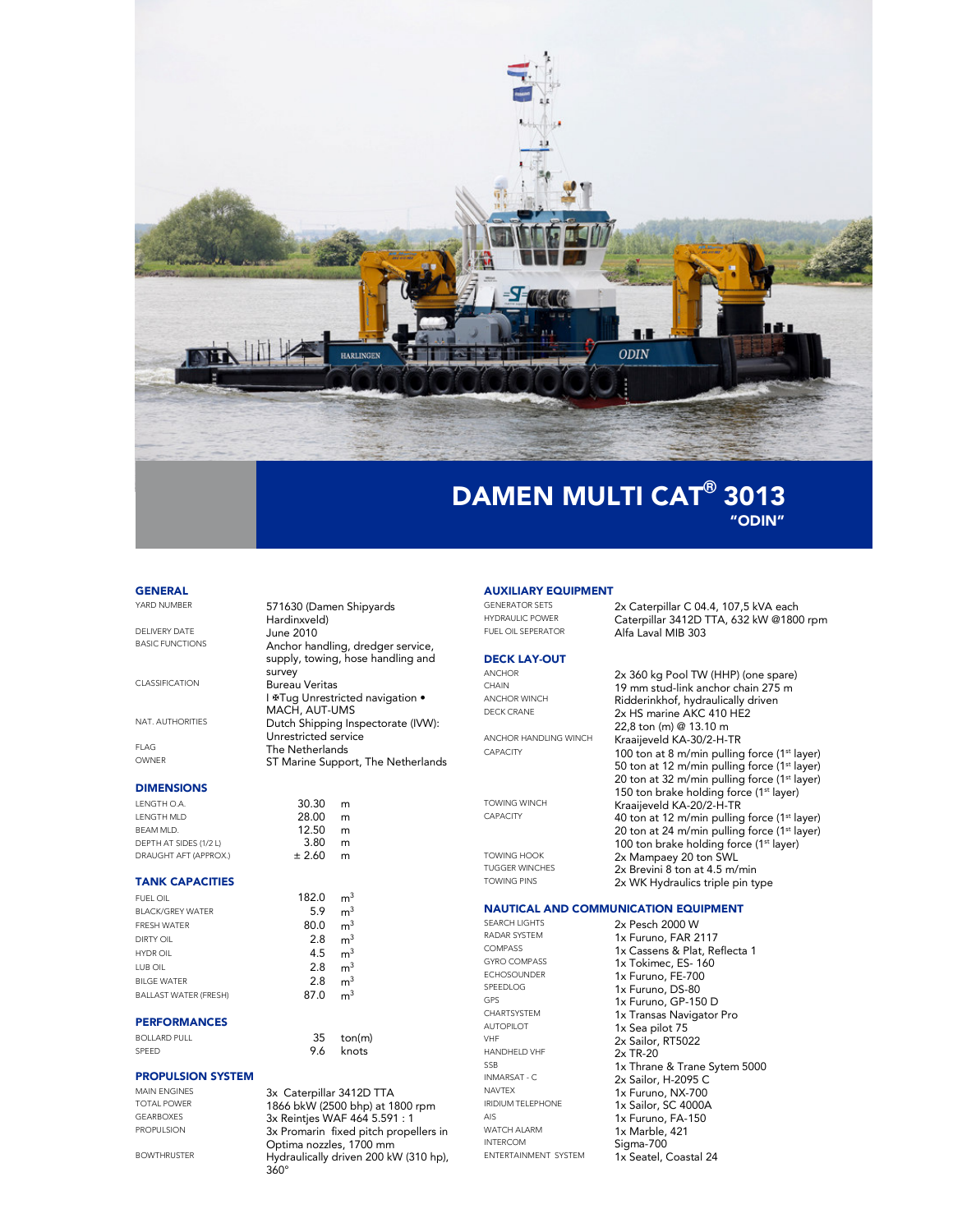

# "ODIN"

#### **GENERAL**

YARD NUMBER 571630 (Damen Shipyards Hardinxveld) DELIVERY DATE June 2010<br>BASIC FUNCTIONS Anchor har survey CLASSIFICATION Bureau Veritas MACH, AUT-UMS NAT. AUTHORITIES Dutch Shipping Inspectorate (IVW): Unrestricted service FLAG The Netherlands<br>
OWNER
The Netherlands<br>
ST Marine Suppo DIMENSIONS LENGTH O.A. 30.30 m<br>LENGTH MLD 28.00 m

#### LENGTH MLD 28.00 m<br>BEAM MLD. 28.00 m BEAM MLD. **12.50 m**<br>DEPTH AT SIDES (1/2 L) **13.80 m** DEPTH AT SIDES (1/2 L) 3.80 m<br>DRAUGHT AFT (APPROX.) the total 2.60 m DRAUGHT AFT (APPROX.) ± 2.60 m

#### TANK CAPACITIES

| FUEL OIL                     | 182.0 | m <sup>3</sup> |
|------------------------------|-------|----------------|
| <b>BLACK/GREY WATER</b>      | 5.9   | m <sup>3</sup> |
| <b>FRESH WATER</b>           | 80.0  | m <sup>3</sup> |
| <b>DIRTY OIL</b>             | 2.8   | m <sup>3</sup> |
| <b>HYDR OIL</b>              | 4.5   | m <sup>3</sup> |
| LUB OIL                      | 2.8   | m <sup>3</sup> |
| <b>BILGE WATER</b>           | 2.8   | m <sup>3</sup> |
| <b>BALLAST WATER (FRESH)</b> | 87.0  |                |

#### PERFORMANCES

| <b>BOLLARD PULL</b> | ton(m     |
|---------------------|-----------|
| SPEED               | 9.6 knots |

### PROPULSION SYSTEM

MAIN ENGINES 3x Caterpillar 3412D TTA<br>TOTAL POWER 1866 bkW (2500 bbn) at 18 TOTAL POWER 1866 bkW (2500 bhp) at 1800 rpm<br>GEARBOXES 3x Reinties WAF 464 5.591 · 1 GEARBOXES 3x Reintjes WAF 464 5.591 : 1<br>PROPULSION 3x Promarin fixed pitch prope

BOWTHRUSTER Hydraulically driven 200 kW (310 hp),

Anchor handling, dredger service, supply, towing, hose handling and I <sup>#</sup>Tug Unrestricted navigation • ST Marine Support, The Netherlands

35 ton(m)<br>9.6 knots

360°

3x Promarin fixed pitch propellers in Optima nozzles, 1700 mm

#### AUXILIARY EQUIPMENT

DECK LAY-OUT ANCHOR 2x 360 kg Pool TW (HHP) (one spare)<br>CHAIN 19 mm stud-link anchor chain 275 m

ANCHOR HANDLING WINCH<br>CAPACITY 100 top at 8 m/min pulling

#### NAUTICAL AND COMMUNICATION EQUIPMENT

SPEEDLOG 1x Furuno, DS-80<br>GPS 1x Furuno, GP 150 AUTOPILOT<br>VHE 1x Sea pilot 75<br>2x Sailor PT50 VHF 2x Sailor, RT5022<br>
HANDHELD VHF 2x TR-20 HANDHELD VHF 2x TR-20 WATCH ALARM 1x Marble, 421 INTERCOM Sigma-700<br>ENTERTAINMENT SYSTEM 1x Seatel C

RADAR SYSTEM 1x Furuno, FAR 2117<br>
COMPASS 1x Cassens & Plat Re COMPASS 1x Cassens & Plat, Reflecta 1<br>GYRO COMPASS 1x Tokimec. ES-160 GYRO COMPASS 1x Tokimec, ES- 160<br>ECHOSOUNDER 1x Furuno FF-700 ECHOSOUNDER 1x Furuno, FE-700<br>SPEEDLOG 1y Furuno, DS-80 GPS 1x Furuno, GP-150 D<br>CHARTSYSTEM 1. Transac Novimeter CHARTSYSTEM 1x Transas Navigator Pro  $\frac{SSB}{N}$  1x Thrane & Trane Sytem 5000<br>
INMARSAT - C  $\frac{2x \text{ Sailor } H \cdot 2095 C}{2x \text{ Sailor } H \cdot 2095 C}$ INMARSAT - C 2x Sailor, H-2095 C<br>
NAVTEX 1x Eurino N.Y. 700 NAVTEX<br>
IRIDIUM TELEPHONE<br>
1x Sailor, SC 4000A IRIDIUM TELEPHONE 1x Sailor, SC 4000A<br>AIS 1x Furuno FA-150 AIS 1x Furuno, FA-150<br>WATCH ALARM 1x Marble. 421 1x Seatel, Coastal 24

GENERATOR SETS 2x Caterpillar C 04.4, 107,5 kVA each<br>HYDRAULIC POWER Caterpillar 3412D TTA 432 kW @1800 HYDRAULIC POWER<br>FUEL OIL SEPERATOR<br>Alfo Lovel MIR 202 Alfa Laval MIB 303

> 100 ton at 8 m/min pulling force (1st layer) 50 ton at 12 m/min pulling force (1<sup>st</sup> layer) 20 ton at 32 m/min pulling force (1<sup>st</sup> layer) 150 ton brake holding force (1<sup>st</sup> layer)

> 40 ton at 12 m/min pulling force (1<sup>st</sup> layer) 20 ton at 24 m/min pulling force (1<sup>st</sup> layer) 100 ton brake holding force (1<sup>st</sup> layer)

2x HS marine AKC 410 HE2 22,8 ton (m) @ 13.10 m

CHAIN 19 mm stud-link anchor chain 275 m<br>ANCHOR WINCH Ridderinkhof hydraulically driven ANCHOR WINCH<br>DECK CRANE **Ridderinkhof, hydraulically driven**<br> $2x$  HS maring AKC 410 HF2

TOWING WINCH **Kraaijeveld KA-20/2-H-TR**<br>CAPACITY **10** top at 12 m/min pulling

TOWING HOOK 2x Mampaey 20 ton SWL<br>TUGGER WINCHES 2x Brevini 8 ton at 4.5 m/ TUGGER WINCHES 2x Brevini 8 ton at 4.5 m/min<br>TOWING PINS 2x M/K Hydraulics triple pin to 2x WK Hydraulics triple pin type SEARCH LIGHTS 2x Pesch 2000 W<br>RADAR SYSTEM 1x Furuno FAR 2